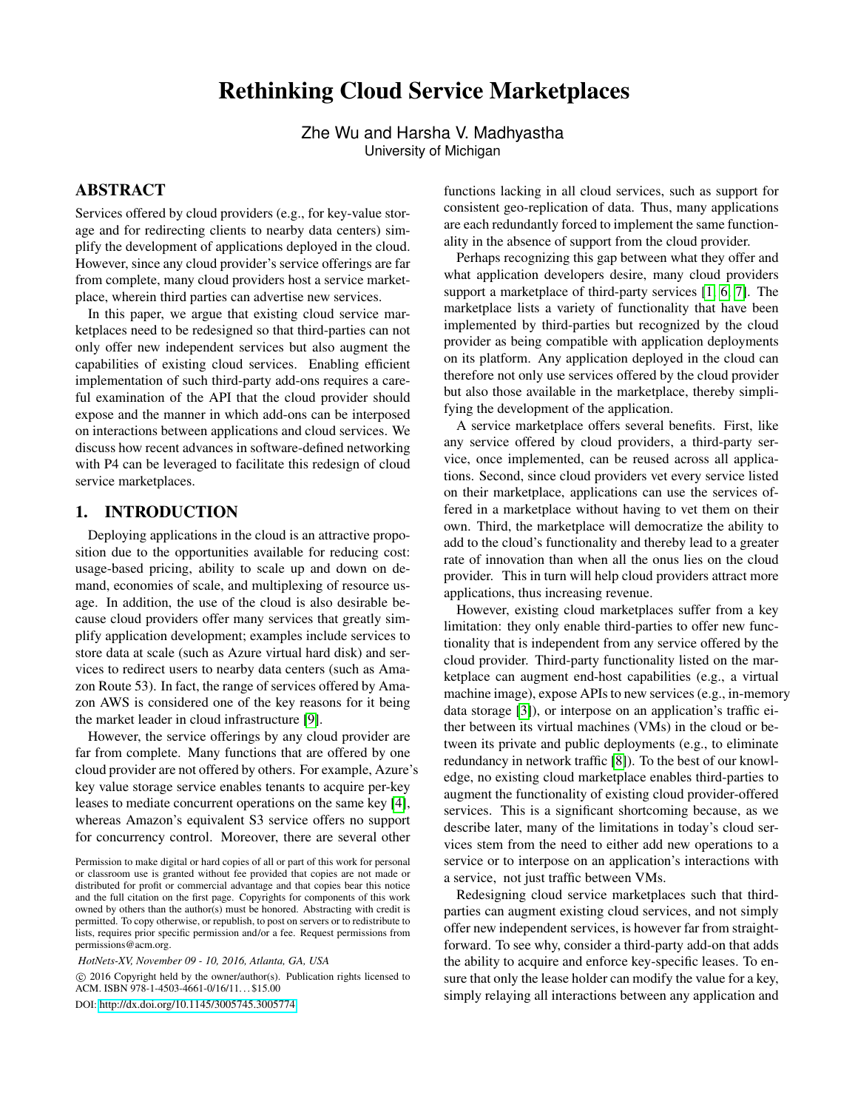# Rethinking Cloud Service Marketplaces

Zhe Wu and Harsha V. Madhyastha University of Michigan

#### ABSTRACT

Services offered by cloud providers (e.g., for key-value storage and for redirecting clients to nearby data centers) simplify the development of applications deployed in the cloud. However, since any cloud provider's service offerings are far from complete, many cloud providers host a service marketplace, wherein third parties can advertise new services.

In this paper, we argue that existing cloud service marketplaces need to be redesigned so that third-parties can not only offer new independent services but also augment the capabilities of existing cloud services. Enabling efficient implementation of such third-party add-ons requires a careful examination of the API that the cloud provider should expose and the manner in which add-ons can be interposed on interactions between applications and cloud services. We discuss how recent advances in software-defined networking with P4 can be leveraged to facilitate this redesign of cloud service marketplaces.

## 1. INTRODUCTION

Deploying applications in the cloud is an attractive proposition due to the opportunities available for reducing cost: usage-based pricing, ability to scale up and down on demand, economies of scale, and multiplexing of resource usage. In addition, the use of the cloud is also desirable because cloud providers offer many services that greatly simplify application development; examples include services to store data at scale (such as Azure virtual hard disk) and services to redirect users to nearby data centers (such as Amazon Route 53). In fact, the range of services offered by Amazon AWS is considered one of the key reasons for it being the market leader in cloud infrastructure [\[9\]](#page-6-0).

However, the service offerings by any cloud provider are far from complete. Many functions that are offered by one cloud provider are not offered by others. For example, Azure's key value storage service enables tenants to acquire per-key leases to mediate concurrent operations on the same key [\[4\]](#page-6-1), whereas Amazon's equivalent S3 service offers no support for concurrency control. Moreover, there are several other

 $\circ$  2016 Copyright held by the owner/author(s). Publication rights licensed to ACM. ISBN 978-1-4503-4661-0/16/11...\$15.00

DOI: <http://dx.doi.org/10.1145/3005745.3005774>

functions lacking in all cloud services, such as support for consistent geo-replication of data. Thus, many applications are each redundantly forced to implement the same functionality in the absence of support from the cloud provider.

Perhaps recognizing this gap between what they offer and what application developers desire, many cloud providers support a marketplace of third-party services [\[1,](#page-6-2) [6,](#page-6-3) [7\]](#page-6-4). The marketplace lists a variety of functionality that have been implemented by third-parties but recognized by the cloud provider as being compatible with application deployments on its platform. Any application deployed in the cloud can therefore not only use services offered by the cloud provider but also those available in the marketplace, thereby simplifying the development of the application.

A service marketplace offers several benefits. First, like any service offered by cloud providers, a third-party service, once implemented, can be reused across all applications. Second, since cloud providers vet every service listed on their marketplace, applications can use the services offered in a marketplace without having to vet them on their own. Third, the marketplace will democratize the ability to add to the cloud's functionality and thereby lead to a greater rate of innovation than when all the onus lies on the cloud provider. This in turn will help cloud providers attract more applications, thus increasing revenue.

However, existing cloud marketplaces suffer from a key limitation: they only enable third-parties to offer new functionality that is independent from any service offered by the cloud provider. Third-party functionality listed on the marketplace can augment end-host capabilities (e.g., a virtual machine image), expose APIs to new services (e.g., in-memory data storage [\[3\]](#page-6-5)), or interpose on an application's traffic either between its virtual machines (VMs) in the cloud or between its private and public deployments (e.g., to eliminate redundancy in network traffic [\[8\]](#page-6-6)). To the best of our knowledge, no existing cloud marketplace enables third-parties to augment the functionality of existing cloud provider-offered services. This is a significant shortcoming because, as we describe later, many of the limitations in today's cloud services stem from the need to either add new operations to a service or to interpose on an application's interactions with a service, not just traffic between VMs.

Redesigning cloud service marketplaces such that thirdparties can augment existing cloud services, and not simply offer new independent services, is however far from straightforward. To see why, consider a third-party add-on that adds the ability to acquire and enforce key-specific leases. To ensure that only the lease holder can modify the value for a key, simply relaying all interactions between any application and

Permission to make digital or hard copies of all or part of this work for personal or classroom use is granted without fee provided that copies are not made or distributed for profit or commercial advantage and that copies bear this notice and the full citation on the first page. Copyrights for components of this work owned by others than the author(s) must be honored. Abstracting with credit is permitted. To copy otherwise, or republish, to post on servers or to redistribute to lists, requires prior specific permission and/or a fee. Request permissions from permissions@acm.org.

*HotNets-XV, November 09 - 10, 2016, Atlanta, GA, USA*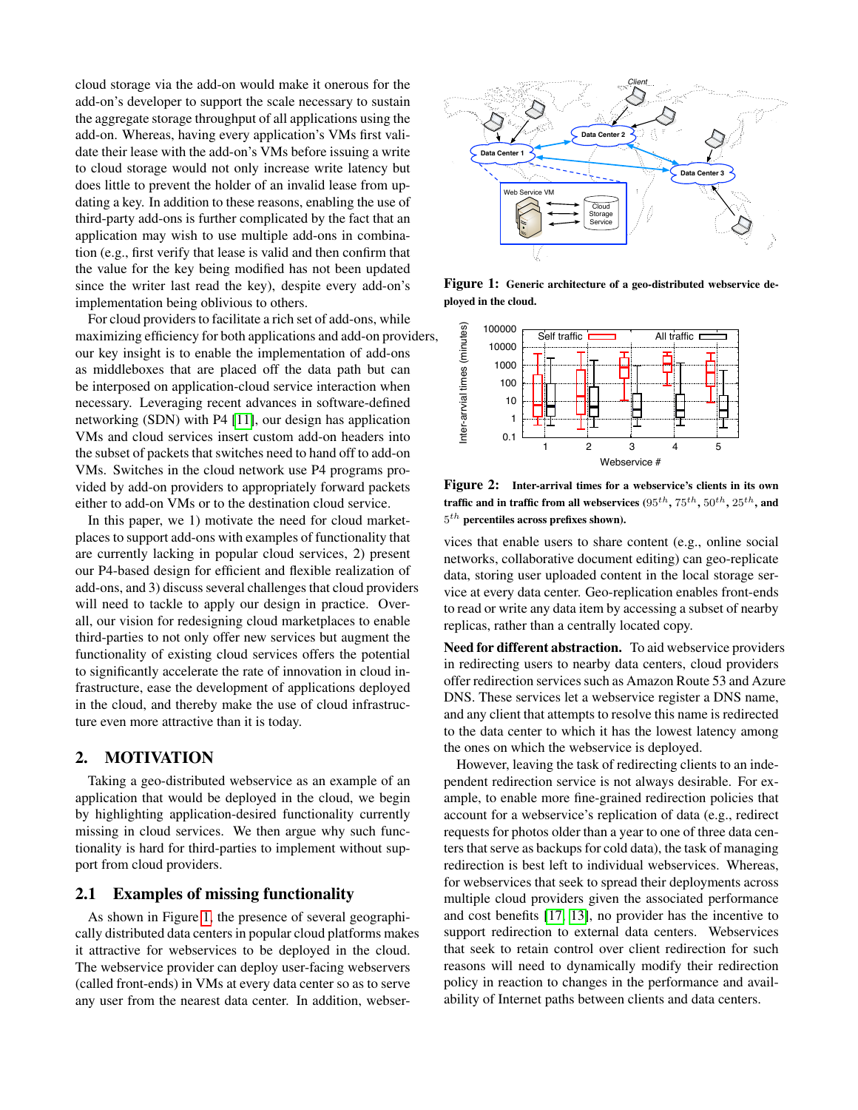cloud storage via the add-on would make it onerous for the add-on's developer to support the scale necessary to sustain the aggregate storage throughput of all applications using the add-on. Whereas, having every application's VMs first validate their lease with the add-on's VMs before issuing a write to cloud storage would not only increase write latency but does little to prevent the holder of an invalid lease from updating a key. In addition to these reasons, enabling the use of third-party add-ons is further complicated by the fact that an application may wish to use multiple add-ons in combination (e.g., first verify that lease is valid and then confirm that the value for the key being modified has not been updated since the writer last read the key), despite every add-on's implementation being oblivious to others.

For cloud providers to facilitate a rich set of add-ons, while maximizing efficiency for both applications and add-on providers, our key insight is to enable the implementation of add-ons as middleboxes that are placed off the data path but can be interposed on application-cloud service interaction when necessary. Leveraging recent advances in software-defined networking (SDN) with P4 [\[11\]](#page-6-7), our design has application VMs and cloud services insert custom add-on headers into the subset of packets that switches need to hand off to add-on VMs. Switches in the cloud network use P4 programs provided by add-on providers to appropriately forward packets either to add-on VMs or to the destination cloud service.

In this paper, we 1) motivate the need for cloud marketplaces to support add-ons with examples of functionality that are currently lacking in popular cloud services, 2) present our P4-based design for efficient and flexible realization of add-ons, and 3) discuss several challenges that cloud providers will need to tackle to apply our design in practice. Overall, our vision for redesigning cloud marketplaces to enable third-parties to not only offer new services but augment the functionality of existing cloud services offers the potential to significantly accelerate the rate of innovation in cloud infrastructure, ease the development of applications deployed in the cloud, and thereby make the use of cloud infrastructure even more attractive than it is today.

## 2. MOTIVATION

Taking a geo-distributed webservice as an example of an application that would be deployed in the cloud, we begin by highlighting application-desired functionality currently missing in cloud services. We then argue why such functionality is hard for third-parties to implement without support from cloud providers.

## 2.1 Examples of missing functionality

As shown in Figure [1,](#page-1-0) the presence of several geographically distributed data centers in popular cloud platforms makes it attractive for webservices to be deployed in the cloud. The webservice provider can deploy user-facing webservers (called front-ends) in VMs at every data center so as to serve any user from the nearest data center. In addition, webser-



<span id="page-1-0"></span>Figure 1: Generic architecture of a geo-distributed webservice deployed in the cloud.



<span id="page-1-1"></span>Figure 2: Inter-arrival times for a webservice's clients in its own traffic and in traffic from all webservices  $(95^{th}, 75^{th}, 50^{th}, 25^{th},$  and  $5<sup>th</sup>$  percentiles across prefixes shown).

vices that enable users to share content (e.g., online social networks, collaborative document editing) can geo-replicate data, storing user uploaded content in the local storage service at every data center. Geo-replication enables front-ends to read or write any data item by accessing a subset of nearby replicas, rather than a centrally located copy.

Need for different abstraction. To aid webservice providers in redirecting users to nearby data centers, cloud providers offer redirection services such as Amazon Route 53 and Azure DNS. These services let a webservice register a DNS name, and any client that attempts to resolve this name is redirected to the data center to which it has the lowest latency among the ones on which the webservice is deployed.

However, leaving the task of redirecting clients to an independent redirection service is not always desirable. For example, to enable more fine-grained redirection policies that account for a webservice's replication of data (e.g., redirect requests for photos older than a year to one of three data centers that serve as backups for cold data), the task of managing redirection is best left to individual webservices. Whereas, for webservices that seek to spread their deployments across multiple cloud providers given the associated performance and cost benefits [\[17,](#page-6-8) [13\]](#page-6-9), no provider has the incentive to support redirection to external data centers. Webservices that seek to retain control over client redirection for such reasons will need to dynamically modify their redirection policy in reaction to changes in the performance and availability of Internet paths between clients and data centers.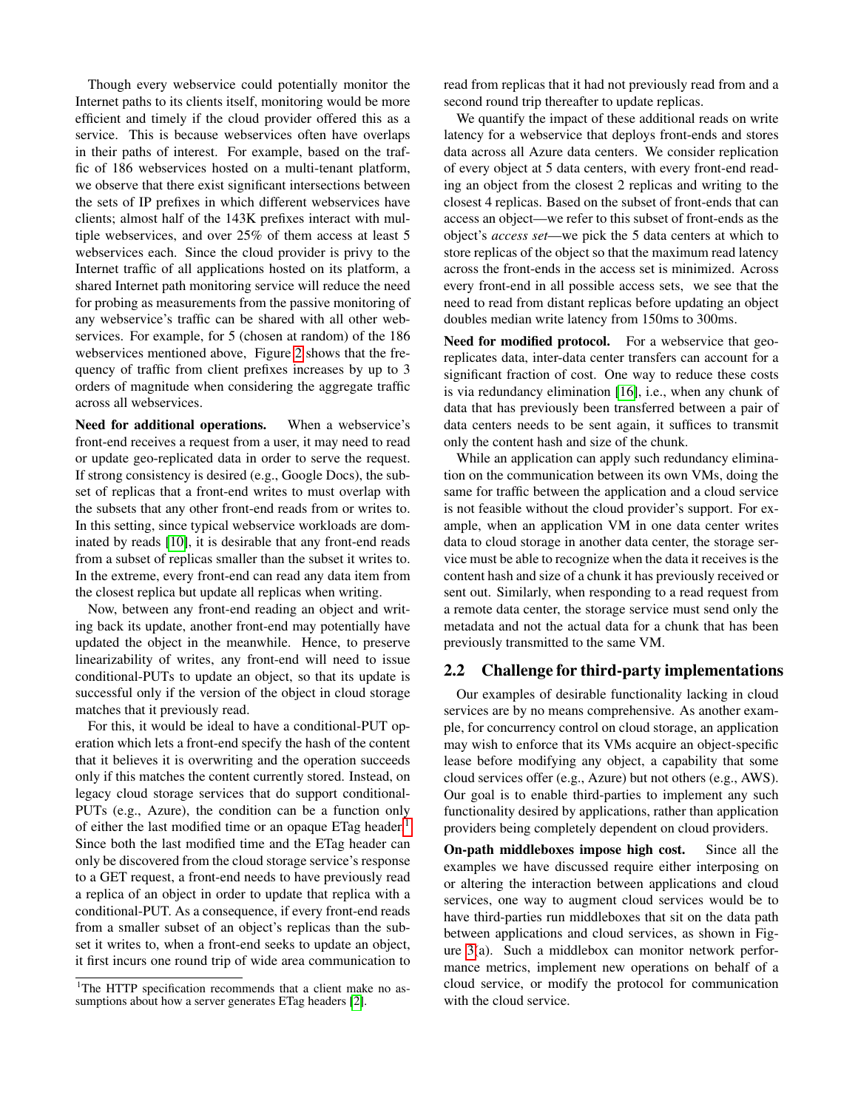Though every webservice could potentially monitor the Internet paths to its clients itself, monitoring would be more efficient and timely if the cloud provider offered this as a service. This is because webservices often have overlaps in their paths of interest. For example, based on the traffic of 186 webservices hosted on a multi-tenant platform, we observe that there exist significant intersections between the sets of IP prefixes in which different webservices have clients; almost half of the 143K prefixes interact with multiple webservices, and over 25% of them access at least 5 webservices each. Since the cloud provider is privy to the Internet traffic of all applications hosted on its platform, a shared Internet path monitoring service will reduce the need for probing as measurements from the passive monitoring of any webservice's traffic can be shared with all other webservices. For example, for 5 (chosen at random) of the 186 webservices mentioned above, Figure [2](#page-1-1) shows that the frequency of traffic from client prefixes increases by up to 3 orders of magnitude when considering the aggregate traffic across all webservices.

Need for additional operations. When a webservice's front-end receives a request from a user, it may need to read or update geo-replicated data in order to serve the request. If strong consistency is desired (e.g., Google Docs), the subset of replicas that a front-end writes to must overlap with the subsets that any other front-end reads from or writes to. In this setting, since typical webservice workloads are dominated by reads [\[10\]](#page-6-10), it is desirable that any front-end reads from a subset of replicas smaller than the subset it writes to. In the extreme, every front-end can read any data item from the closest replica but update all replicas when writing.

Now, between any front-end reading an object and writing back its update, another front-end may potentially have updated the object in the meanwhile. Hence, to preserve linearizability of writes, any front-end will need to issue conditional-PUTs to update an object, so that its update is successful only if the version of the object in cloud storage matches that it previously read.

For this, it would be ideal to have a conditional-PUT operation which lets a front-end specify the hash of the content that it believes it is overwriting and the operation succeeds only if this matches the content currently stored. Instead, on legacy cloud storage services that do support conditional-PUTs (e.g., Azure), the condition can be a function only of either the last modified time or an opaque ETag header.<sup>[1](#page-2-0)</sup> Since both the last modified time and the ETag header can only be discovered from the cloud storage service's response to a GET request, a front-end needs to have previously read a replica of an object in order to update that replica with a conditional-PUT. As a consequence, if every front-end reads from a smaller subset of an object's replicas than the subset it writes to, when a front-end seeks to update an object, it first incurs one round trip of wide area communication to

read from replicas that it had not previously read from and a second round trip thereafter to update replicas.

We quantify the impact of these additional reads on write latency for a webservice that deploys front-ends and stores data across all Azure data centers. We consider replication of every object at 5 data centers, with every front-end reading an object from the closest 2 replicas and writing to the closest 4 replicas. Based on the subset of front-ends that can access an object—we refer to this subset of front-ends as the object's *access set*—we pick the 5 data centers at which to store replicas of the object so that the maximum read latency across the front-ends in the access set is minimized. Across every front-end in all possible access sets, we see that the need to read from distant replicas before updating an object doubles median write latency from 150ms to 300ms.

Need for modified protocol. For a webservice that georeplicates data, inter-data center transfers can account for a significant fraction of cost. One way to reduce these costs is via redundancy elimination [\[16\]](#page-6-12), i.e., when any chunk of data that has previously been transferred between a pair of data centers needs to be sent again, it suffices to transmit only the content hash and size of the chunk.

While an application can apply such redundancy elimination on the communication between its own VMs, doing the same for traffic between the application and a cloud service is not feasible without the cloud provider's support. For example, when an application VM in one data center writes data to cloud storage in another data center, the storage service must be able to recognize when the data it receives is the content hash and size of a chunk it has previously received or sent out. Similarly, when responding to a read request from a remote data center, the storage service must send only the metadata and not the actual data for a chunk that has been previously transmitted to the same VM.

#### 2.2 Challenge for third-party implementations

Our examples of desirable functionality lacking in cloud services are by no means comprehensive. As another example, for concurrency control on cloud storage, an application may wish to enforce that its VMs acquire an object-specific lease before modifying any object, a capability that some cloud services offer (e.g., Azure) but not others (e.g., AWS). Our goal is to enable third-parties to implement any such functionality desired by applications, rather than application providers being completely dependent on cloud providers.

On-path middleboxes impose high cost. Since all the examples we have discussed require either interposing on or altering the interaction between applications and cloud services, one way to augment cloud services would be to have third-parties run middleboxes that sit on the data path between applications and cloud services, as shown in Figure [3\(](#page-3-0)a). Such a middlebox can monitor network performance metrics, implement new operations on behalf of a cloud service, or modify the protocol for communication with the cloud service.

<span id="page-2-0"></span><sup>&</sup>lt;sup>1</sup>The HTTP specification recommends that a client make no as-sumptions about how a server generates ETag headers [\[2\]](#page-6-11).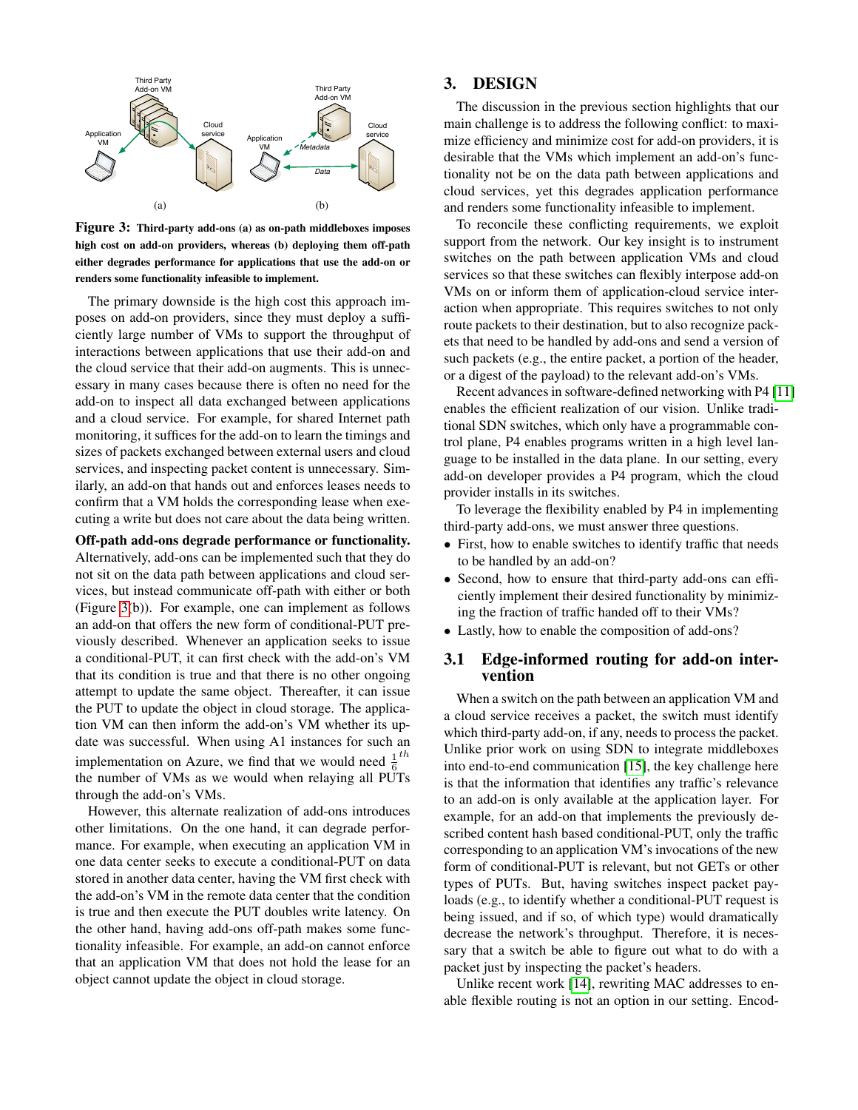

<span id="page-3-0"></span>Figure 3: Third-party add-ons (a) as on-path middleboxes imposes high cost on add-on providers, whereas (b) deploying them off-path either degrades performance for applications that use the add-on or renders some functionality infeasible to implement.

The primary downside is the high cost this approach imposes on add-on providers, since they must deploy a sufficiently large number of VMs to support the throughput of interactions between applications that use their add-on and the cloud service that their add-on augments. This is unnecessary in many cases because there is often no need for the add-on to inspect all data exchanged between applications and a cloud service. For example, for shared Internet path monitoring, it suffices for the add-on to learn the timings and sizes of packets exchanged between external users and cloud services, and inspecting packet content is unnecessary. Similarly, an add-on that hands out and enforces leases needs to confirm that a VM holds the corresponding lease when executing a write but does not care about the data being written.

Off-path add-ons degrade performance or functionality. Alternatively, add-ons can be implemented such that they do not sit on the data path between applications and cloud services, but instead communicate off-path with either or both (Figure [3\(](#page-3-0)b)). For example, one can implement as follows an add-on that offers the new form of conditional-PUT previously described. Whenever an application seeks to issue a conditional-PUT, it can first check with the add-on's VM that its condition is true and that there is no other ongoing attempt to update the same object. Thereafter, it can issue the PUT to update the object in cloud storage. The application VM can then inform the add-on's VM whether its update was successful. When using A1 instances for such an implementation on Azure, we find that we would need  $\frac{1}{6}$ th the number of VMs as we would when relaying all PUTs through the add-on's VMs.

However, this alternate realization of add-ons introduces other limitations. On the one hand, it can degrade performance. For example, when executing an application VM in one data center seeks to execute a conditional-PUT on data stored in another data center, having the VM first check with the add-on's VM in the remote data center that the condition is true and then execute the PUT doubles write latency. On the other hand, having add-ons off-path makes some functionality infeasible. For example, an add-on cannot enforce that an application VM that does not hold the lease for an object cannot update the object in cloud storage.

## 3. DESIGN

The discussion in the previous section highlights that our main challenge is to address the following conflict: to maximize efficiency and minimize cost for add-on providers, it is desirable that the VMs which implement an add-on's functionality not be on the data path between applications and cloud services, yet this degrades application performance and renders some functionality infeasible to implement.

To reconcile these conflicting requirements, we exploit support from the network. Our key insight is to instrument switches on the path between application VMs and cloud services so that these switches can flexibly interpose add-on VMs on or inform them of application-cloud service interaction when appropriate. This requires switches to not only route packets to their destination, but to also recognize packets that need to be handled by add-ons and send a version of such packets (e.g., the entire packet, a portion of the header, or a digest of the payload) to the relevant add-on's VMs.

Recent advances in software-defined networking with P4 [\[11\]](#page-6-7) enables the efficient realization of our vision. Unlike traditional SDN switches, which only have a programmable control plane, P4 enables programs written in a high level language to be installed in the data plane. In our setting, every add-on developer provides a P4 program, which the cloud provider installs in its switches.

To leverage the flexibility enabled by P4 in implementing third-party add-ons, we must answer three questions.

- First, how to enable switches to identify traffic that needs to be handled by an add-on?
- Second, how to ensure that third-party add-ons can efficiently implement their desired functionality by minimizing the fraction of traffic handed off to their VMs?
- Lastly, how to enable the composition of add-ons?

### 3.1 Edge-informed routing for add-on intervention

When a switch on the path between an application VM and a cloud service receives a packet, the switch must identify which third-party add-on, if any, needs to process the packet. Unlike prior work on using SDN to integrate middleboxes into end-to-end communication [\[15\]](#page-6-13), the key challenge here is that the information that identifies any traffic's relevance to an add-on is only available at the application layer. For example, for an add-on that implements the previously described content hash based conditional-PUT, only the traffic corresponding to an application VM's invocations of the new form of conditional-PUT is relevant, but not GETs or other types of PUTs. But, having switches inspect packet payloads (e.g., to identify whether a conditional-PUT request is being issued, and if so, of which type) would dramatically decrease the network's throughput. Therefore, it is necessary that a switch be able to figure out what to do with a packet just by inspecting the packet's headers.

Unlike recent work [\[14\]](#page-6-14), rewriting MAC addresses to enable flexible routing is not an option in our setting. Encod-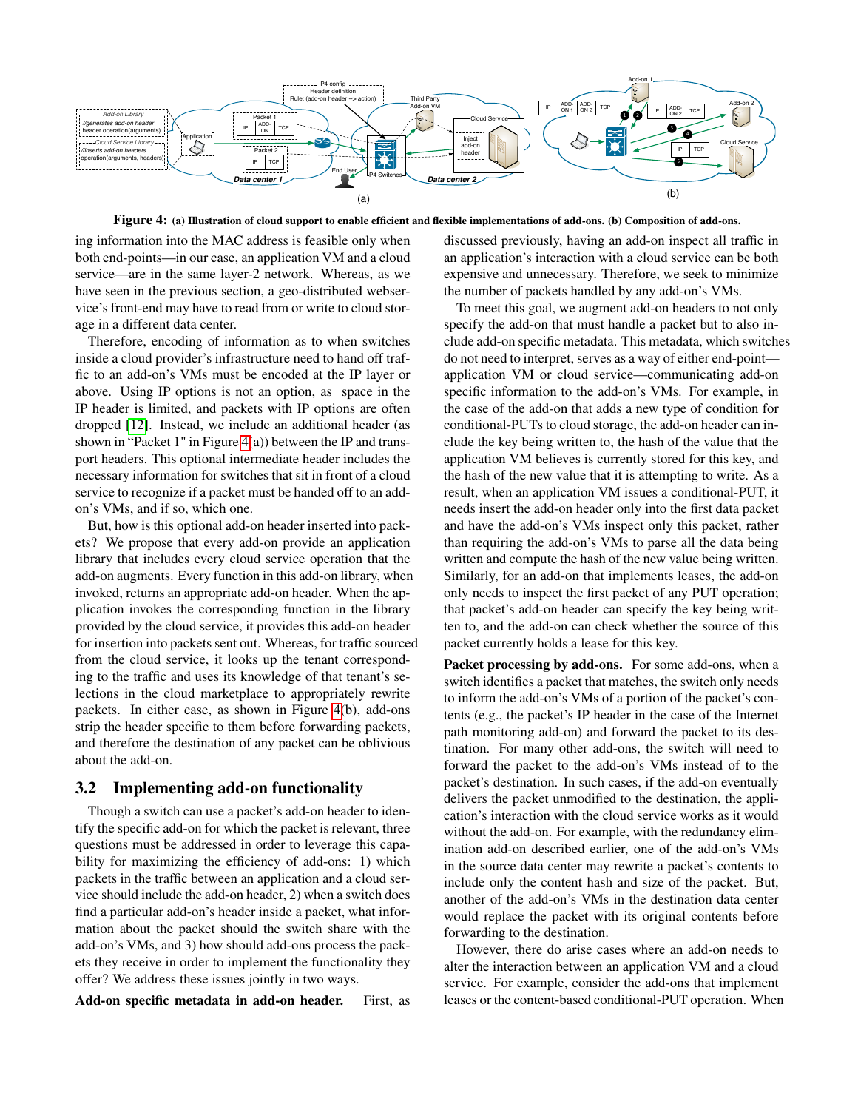

<span id="page-4-0"></span>Figure 4: (a) Illustration of cloud support to enable efficient and flexible implementations of add-ons. (b) Composition of add-ons.

ing information into the MAC address is feasible only when both end-points—in our case, an application VM and a cloud service—are in the same layer-2 network. Whereas, as we have seen in the previous section, a geo-distributed webservice's front-end may have to read from or write to cloud storage in a different data center.

Therefore, encoding of information as to when switches inside a cloud provider's infrastructure need to hand off traffic to an add-on's VMs must be encoded at the IP layer or above. Using IP options is not an option, as space in the IP header is limited, and packets with IP options are often dropped [\[12\]](#page-6-15). Instead, we include an additional header (as shown in "Packet 1" in Figure  $4(a)$ ) between the IP and transport headers. This optional intermediate header includes the necessary information for switches that sit in front of a cloud service to recognize if a packet must be handed off to an addon's VMs, and if so, which one.

But, how is this optional add-on header inserted into packets? We propose that every add-on provide an application library that includes every cloud service operation that the add-on augments. Every function in this add-on library, when invoked, returns an appropriate add-on header. When the application invokes the corresponding function in the library provided by the cloud service, it provides this add-on header for insertion into packets sent out. Whereas, for traffic sourced from the cloud service, it looks up the tenant corresponding to the traffic and uses its knowledge of that tenant's selections in the cloud marketplace to appropriately rewrite packets. In either case, as shown in Figure [4\(](#page-4-0)b), add-ons strip the header specific to them before forwarding packets, and therefore the destination of any packet can be oblivious about the add-on.

#### 3.2 Implementing add-on functionality

Though a switch can use a packet's add-on header to identify the specific add-on for which the packet is relevant, three questions must be addressed in order to leverage this capability for maximizing the efficiency of add-ons: 1) which packets in the traffic between an application and a cloud service should include the add-on header, 2) when a switch does find a particular add-on's header inside a packet, what information about the packet should the switch share with the add-on's VMs, and 3) how should add-ons process the packets they receive in order to implement the functionality they offer? We address these issues jointly in two ways.

Add-on specific metadata in add-on header. First, as

discussed previously, having an add-on inspect all traffic in an application's interaction with a cloud service can be both expensive and unnecessary. Therefore, we seek to minimize the number of packets handled by any add-on's VMs.

To meet this goal, we augment add-on headers to not only specify the add-on that must handle a packet but to also include add-on specific metadata. This metadata, which switches do not need to interpret, serves as a way of either end-point application VM or cloud service—communicating add-on specific information to the add-on's VMs. For example, in the case of the add-on that adds a new type of condition for conditional-PUTs to cloud storage, the add-on header can include the key being written to, the hash of the value that the application VM believes is currently stored for this key, and the hash of the new value that it is attempting to write. As a result, when an application VM issues a conditional-PUT, it needs insert the add-on header only into the first data packet and have the add-on's VMs inspect only this packet, rather than requiring the add-on's VMs to parse all the data being written and compute the hash of the new value being written. Similarly, for an add-on that implements leases, the add-on only needs to inspect the first packet of any PUT operation; that packet's add-on header can specify the key being written to, and the add-on can check whether the source of this packet currently holds a lease for this key.

Packet processing by add-ons. For some add-ons, when a switch identifies a packet that matches, the switch only needs to inform the add-on's VMs of a portion of the packet's contents (e.g., the packet's IP header in the case of the Internet path monitoring add-on) and forward the packet to its destination. For many other add-ons, the switch will need to forward the packet to the add-on's VMs instead of to the packet's destination. In such cases, if the add-on eventually delivers the packet unmodified to the destination, the application's interaction with the cloud service works as it would without the add-on. For example, with the redundancy elimination add-on described earlier, one of the add-on's VMs in the source data center may rewrite a packet's contents to include only the content hash and size of the packet. But, another of the add-on's VMs in the destination data center would replace the packet with its original contents before forwarding to the destination.

However, there do arise cases where an add-on needs to alter the interaction between an application VM and a cloud service. For example, consider the add-ons that implement leases or the content-based conditional-PUT operation. When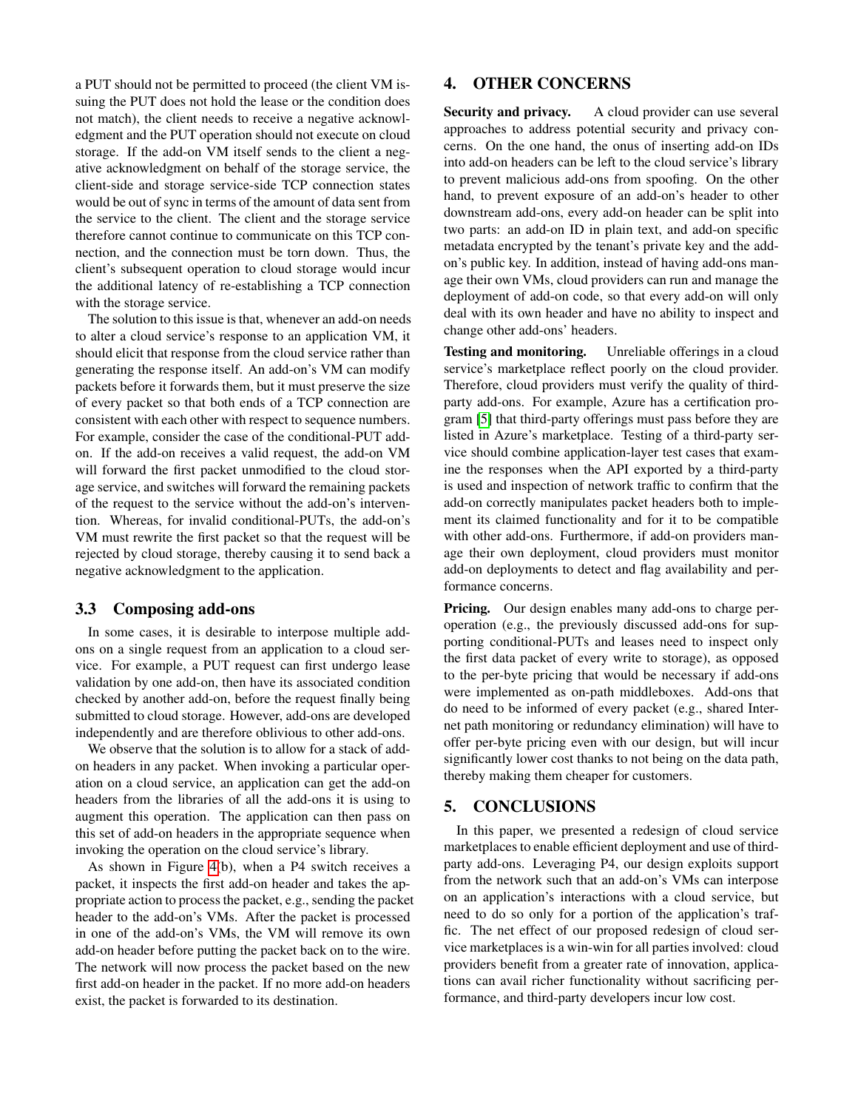a PUT should not be permitted to proceed (the client VM issuing the PUT does not hold the lease or the condition does not match), the client needs to receive a negative acknowledgment and the PUT operation should not execute on cloud storage. If the add-on VM itself sends to the client a negative acknowledgment on behalf of the storage service, the client-side and storage service-side TCP connection states would be out of sync in terms of the amount of data sent from the service to the client. The client and the storage service therefore cannot continue to communicate on this TCP connection, and the connection must be torn down. Thus, the client's subsequent operation to cloud storage would incur the additional latency of re-establishing a TCP connection with the storage service.

The solution to this issue is that, whenever an add-on needs to alter a cloud service's response to an application VM, it should elicit that response from the cloud service rather than generating the response itself. An add-on's VM can modify packets before it forwards them, but it must preserve the size of every packet so that both ends of a TCP connection are consistent with each other with respect to sequence numbers. For example, consider the case of the conditional-PUT addon. If the add-on receives a valid request, the add-on VM will forward the first packet unmodified to the cloud storage service, and switches will forward the remaining packets of the request to the service without the add-on's intervention. Whereas, for invalid conditional-PUTs, the add-on's VM must rewrite the first packet so that the request will be rejected by cloud storage, thereby causing it to send back a negative acknowledgment to the application.

## 3.3 Composing add-ons

In some cases, it is desirable to interpose multiple addons on a single request from an application to a cloud service. For example, a PUT request can first undergo lease validation by one add-on, then have its associated condition checked by another add-on, before the request finally being submitted to cloud storage. However, add-ons are developed independently and are therefore oblivious to other add-ons.

We observe that the solution is to allow for a stack of addon headers in any packet. When invoking a particular operation on a cloud service, an application can get the add-on headers from the libraries of all the add-ons it is using to augment this operation. The application can then pass on this set of add-on headers in the appropriate sequence when invoking the operation on the cloud service's library.

As shown in Figure [4\(](#page-4-0)b), when a P4 switch receives a packet, it inspects the first add-on header and takes the appropriate action to process the packet, e.g., sending the packet header to the add-on's VMs. After the packet is processed in one of the add-on's VMs, the VM will remove its own add-on header before putting the packet back on to the wire. The network will now process the packet based on the new first add-on header in the packet. If no more add-on headers exist, the packet is forwarded to its destination.

# 4. OTHER CONCERNS

Security and privacy. A cloud provider can use several approaches to address potential security and privacy concerns. On the one hand, the onus of inserting add-on IDs into add-on headers can be left to the cloud service's library to prevent malicious add-ons from spoofing. On the other hand, to prevent exposure of an add-on's header to other downstream add-ons, every add-on header can be split into two parts: an add-on ID in plain text, and add-on specific metadata encrypted by the tenant's private key and the addon's public key. In addition, instead of having add-ons manage their own VMs, cloud providers can run and manage the deployment of add-on code, so that every add-on will only deal with its own header and have no ability to inspect and change other add-ons' headers.

Testing and monitoring. Unreliable offerings in a cloud service's marketplace reflect poorly on the cloud provider. Therefore, cloud providers must verify the quality of thirdparty add-ons. For example, Azure has a certification program [\[5\]](#page-6-16) that third-party offerings must pass before they are listed in Azure's marketplace. Testing of a third-party service should combine application-layer test cases that examine the responses when the API exported by a third-party is used and inspection of network traffic to confirm that the add-on correctly manipulates packet headers both to implement its claimed functionality and for it to be compatible with other add-ons. Furthermore, if add-on providers manage their own deployment, cloud providers must monitor add-on deployments to detect and flag availability and performance concerns.

Pricing. Our design enables many add-ons to charge peroperation (e.g., the previously discussed add-ons for supporting conditional-PUTs and leases need to inspect only the first data packet of every write to storage), as opposed to the per-byte pricing that would be necessary if add-ons were implemented as on-path middleboxes. Add-ons that do need to be informed of every packet (e.g., shared Internet path monitoring or redundancy elimination) will have to offer per-byte pricing even with our design, but will incur significantly lower cost thanks to not being on the data path, thereby making them cheaper for customers.

## 5. CONCLUSIONS

In this paper, we presented a redesign of cloud service marketplaces to enable efficient deployment and use of thirdparty add-ons. Leveraging P4, our design exploits support from the network such that an add-on's VMs can interpose on an application's interactions with a cloud service, but need to do so only for a portion of the application's traffic. The net effect of our proposed redesign of cloud service marketplaces is a win-win for all parties involved: cloud providers benefit from a greater rate of innovation, applications can avail richer functionality without sacrificing performance, and third-party developers incur low cost.